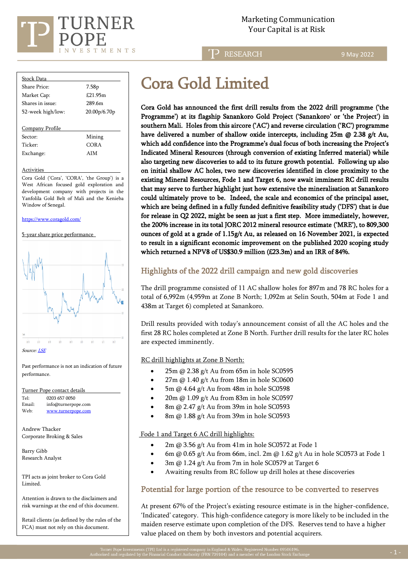

**RESEARCH** 

9 May 2022

| <b>Stock Data</b> |                   |
|-------------------|-------------------|
| Share Price:      | 7.58 <sub>p</sub> |
| Market Cap:       | £21.95m           |
| Shares in issue:  | 289.6m            |
| 52-week high/low: | 20.00p/6.70p      |
|                   |                   |
| Company Profile   |                   |
| Sector:           | Mining            |
| Ticker:           | COR A             |

Activities

Cora Gold ('Cora', 'CORA', 'the Group') is a West African focused gold exploration and development company with projects in the Yanfolila Gold Belt of Mali and the Kenieba Window of Senegal.

<https://www.coragold.com/>

#### 5-year share price performance

Exchange: AIM



Past performance is not an indication of future performance.

| Turner Pope contact details |                     |
|-----------------------------|---------------------|
| Tel:                        | 0203 657 0050       |
| Email:                      | info@turnerpope.com |
| Web:                        | www.turnerpope.com  |

Andrew Thacker Corporate Broking & Sales

Barry Gibb Research Analyst

TPI acts as joint broker to Cora Gold Limited.

Attention is drawn to the disclaimers and risk warnings at the end of this document.

Retail clients (as defined by the rules of the FCA) must not rely on this document.

# Cora Gold Limited

Cora Gold has announced the first drill results from the 2022 drill programme ('the Programme') at its flagship Sanankoro Gold Project ('Sanankoro' or 'the Project') in southern Mali. Holes from this aircore ('AC') and reverse circulation ('RC') programme have delivered a number of shallow oxide intercepts, including  $25m \omega$   $2.38 g/t$  Au, which add confidence into the Programme's dual focus of both increasing the Project's Indicated Mineral Resources (through conversion of existing Inferred material) while also targeting new discoveries to add to its future growth potential. Following up also on initial shallow AC holes, two new discoveries identified in close proximity to the existing Mineral Resources, Fode 1 and Target 6, now await imminent RC drill results that may serve to further highlight just how extensive the mineralisation at Sanankoro could ultimately prove to be. Indeed, the scale and economics of the principal asset, which are being defined in a fully funded definitive feasibility study ('DFS') that is due for release in Q2 2022, might be seen as just a first step. More immediately, however, the 200% increase in its total JORC 2012 mineral resource estimate ('MRE'), to 809,300 ounces of gold at a grade of 1.15g/t Au, as released on 16 November 2021, is expected to result in a significant economic improvement on the published 2020 scoping study which returned a NPV8 of US\$30.9 million (£23.3m) and an IRR of 84%.

# Highlights of the 2022 drill campaign and new gold discoveries

The drill programme consisted of 11 AC shallow holes for 897m and 78 RC holes for a total of 6,992m (4,959m at Zone B North; 1,092m at Selin South, 504m at Fode 1 and 438m at Target 6) completed at Sanankoro.

Drill results provided with today's announcement consist of all the AC holes and the first 28 RC holes completed at Zone B North. Further drill results for the later RC holes are expected imminently.

RC drill highlights at Zone B North:

- 25m @ 2.38 g/t Au from 65m in hole SC0595
- 27m @ 1.40 g/t Au from 18m in hole SC0600
- 5m @ 4.64 g/t Au from 48m in hole SC0598
- 20m @ 1.09 g/t Au from 83m in hole SC0597
- 8m @ 2.47 g/t Au from 39m in hole SC0593
- 8m @ 1.88 g/t Au from 39m in hole SC0593

## Fode 1 and Target 6 AC drill highlights:

- 2m @ 3.56 g/t Au from 41m in hole SC0572 at Fode 1
- 6m @ 0.65 g/t Au from 66m, incl. 2m @ 1.62 g/t Au in hole SC0573 at Fode 1
- 3m  $@$  1.24 g/t Au from 7m in hole SC0579 at Target 6
- Awaiting results from RC follow up drill holes at these discoveries

## Potential for large portion of the resource to be converted to reserves

At present 67% of the Project's existing resource estimate is in the higher-confidence, 'Indicated' category. This high-confidence category is more likely to be included in the maiden reserve estimate upon completion of the DFS. Reserves tend to have a higher value placed on them by both investors and potential acquirers.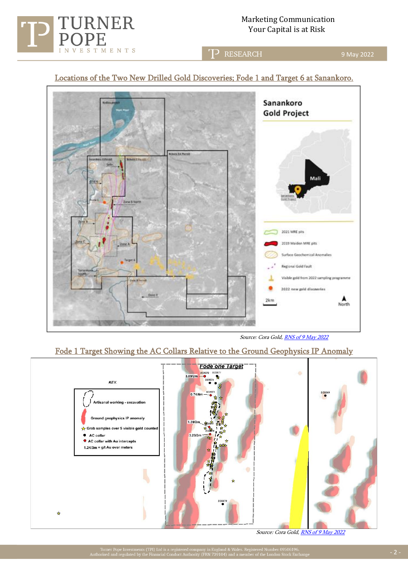Marketing Communication TURNER Marketing Communication (Marketing Communication)<br>POPE

9 May 2022

**RESEARCH** 

# Locations of the Two New Drilled Gold Discoveries; Fode 1 and Target 6 at Sanankoro.



Source: Cora Gol[d, RNS of 9 May 2022](https://www.londonstockexchange.com/news-article/CORA/first-drill-results-from-2022-new-discoveries/15442289)

# Fode 1 Target Showing the AC Collars Relative to the Ground Geophysics IP Anomaly



Source: Cora Gol[d, RNS of 9 May 2022](https://www.londonstockexchange.com/news-article/CORA/first-drill-results-from-2022-new-discoveries/15442289)



l,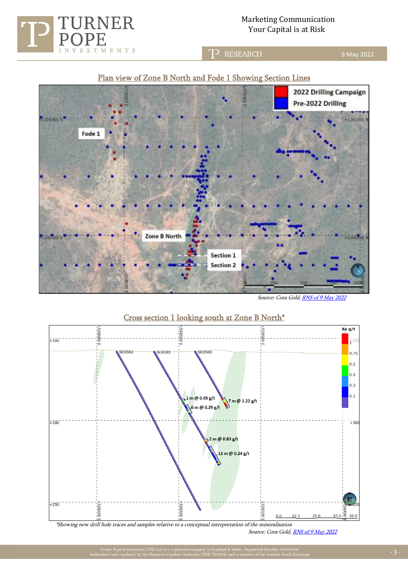Marketing Communication URNER Marketing Communication<br>Your Capital is at Risk

> **RESEARCH** 'T)



Source: Cora Gol[d, RNS of 9 May 2022](https://www.londonstockexchange.com/news-article/CORA/first-drill-results-from-2022-new-discoveries/15442289)



\*Showing new drill hole traces and samples relative to a conceptual interpretation of the mineralisation

Source: Cora Gol[d, RNS of 9 May 2022](https://www.londonstockexchange.com/news-article/CORA/first-drill-results-from-2022-new-discoveries/15442289)

**VESTMENTS** 

I N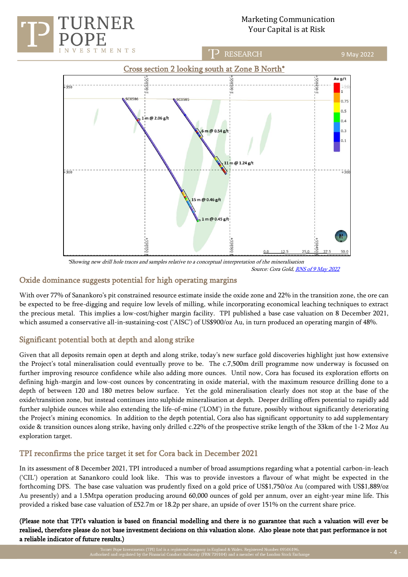

# Marketing Communication Your Capital is at Risk



Source: Cora Gol[d, RNS of 9 May 2022](https://www.londonstockexchange.com/news-article/CORA/first-drill-results-from-2022-new-discoveries/15442289)

## Oxide dominance suggests potential for high operating margins

With over 77% of Sanankoro's pit constrained resource estimate inside the oxide zone and 22% in the transition zone, the ore can be expected to be free-digging and require low levels of milling, while incorporating economical leaching techniques to extract the precious metal. This implies a low-cost/higher margin facility. TPI published a base case valuation on 8 December 2021, which assumed a conservative all-in-sustaining-cost ('AISC') of US\$900/oz Au, in turn produced an operating margin of 48%.

# Significant potential both at depth and along strike

Given that all deposits remain open at depth and along strike, today's new surface gold discoveries highlight just how extensive the Project's total mineralisation could eventually prove to be. The c.7,500m drill programme now underway is focussed on further improving resource confidence while also adding more ounces. Until now, Cora has focused its exploration efforts on defining high-margin and low-cost ounces by concentrating in oxide material, with the maximum resource drilling done to a depth of between 120 and 180 metres below surface. Yet the gold mineralisation clearly does not stop at the base of the oxide/transition zone, but instead continues into sulphide mineralisation at depth. Deeper drilling offers potential to rapidly add further sulphide ounces while also extending the life-of-mine ('LOM') in the future, possibly without significantly deteriorating the Project's mining economics. In addition to the depth potential, Cora also has significant opportunity to add supplementary oxide & transition ounces along strike, having only drilled c.22% of the prospective strike length of the 33km of the 1-2 Moz Au exploration target.

# TPI reconfirms the price target it set for Cora back in December 2021

In its assessment of 8 December 2021, TPI introduced a number of broad assumptions regarding what a potential carbon-in-leach ('CIL') operation at Sanankoro could look like. This was to provide investors a flavour of what might be expected in the forthcoming DFS. The base case valuation was prudently fixed on a gold price of US\$1,750/oz Au (compared with US\$1,889/oz Au presently) and a 1.5Mtpa operation producing around 60,000 ounces of gold per annum, over an eight-year mine life. This provided a risked base case valuation of £52.7m or 18.2p per share, an upside of over 151% on the current share price.

(Please note that TPI's valuation is based on financial modelling and there is no guarantee that such a valuation will ever be realised, therefore please do not base investment decisions on this valuation alone. Also please note that past performance is not a reliable indicator of future results.)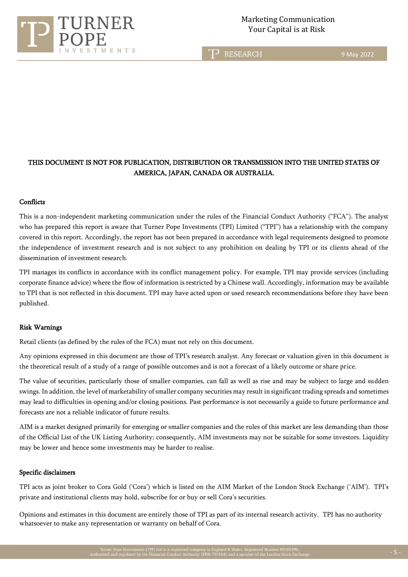

TP RESEARCH

9 May 2022

# THIS DOCUMENT IS NOT FOR PUBLICATION, DISTRIBUTION OR TRANSMISSION INTO THE UNITED STATES OF AMERICA, JAPAN, CANADA OR AUSTRALIA.

### **Conflicts**

This is a non-independent marketing communication under the rules of the Financial Conduct Authority ("FCA"). The analyst who has prepared this report is aware that Turner Pope Investments (TPI) Limited ("TPI") has a relationship with the company covered in this report. Accordingly, the report has not been prepared in accordance with legal requirements designed to promote the independence of investment research and is not subject to any prohibition on dealing by TPI or its clients ahead of the dissemination of investment research.

TPI manages its conflicts in accordance with its conflict management policy. For example, TPI may provide services (including corporate finance advice) where the flow of information is restricted by a Chinese wall. Accordingly, information may be available to TPI that is not reflected in this document. TPI may have acted upon or used research recommendations before they have been published.

## Risk Warnings

Retail clients (as defined by the rules of the FCA) must not rely on this document.

Any opinions expressed in this document are those of TPI's research analyst. Any forecast or valuation given in this document is the theoretical result of a study of a range of possible outcomes and is not a forecast of a likely outcome or share price.

The value of securities, particularly those of smaller companies, can fall as well as rise and may be subject to large and sudden swings. In addition, the level of marketability of smaller company securities may result in significant trading spreads and sometimes may lead to difficulties in opening and/or closing positions. Past performance is not necessarily a guide to future performance and forecasts are not a reliable indicator of future results.

AIM is a market designed primarily for emerging or smaller companies and the rules of this market are less demanding than those of the Official List of the UK Listing Authority; consequently, AIM investments may not be suitable for some investors. Liquidity may be lower and hence some investments may be harder to realise.

#### Specific disclaimers

TPI acts as joint broker to Cora Gold ('Cora') which is listed on the AIM Market of the London Stock Exchange ('AIM'). TPI's private and institutional clients may hold, subscribe for or buy or sell Cora's securities.

Opinions and estimates in this document are entirely those of TPI as part of its internal research activity. TPI has no authority whatsoever to make any representation or warranty on behalf of Cora.